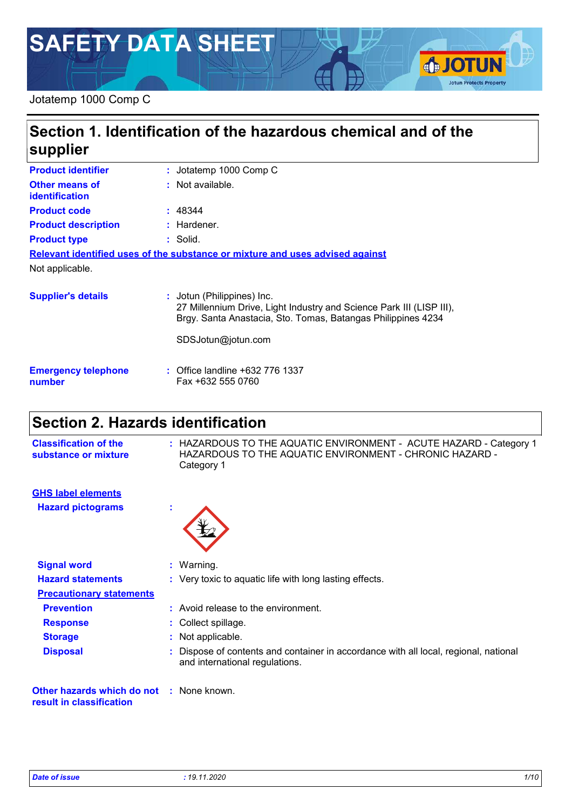# **SAFETY DATA SHEET**

### Jotatemp 1000 Comp C

### **Section 1. Identification of the hazardous chemical and of the supplier**

| <b>Product identifier</b>                      | : Jotatemp 1000 Comp C                                                                                                                                          |
|------------------------------------------------|-----------------------------------------------------------------------------------------------------------------------------------------------------------------|
| <b>Other means of</b><br><i>identification</i> | : Not available.                                                                                                                                                |
| <b>Product code</b>                            | : 48344                                                                                                                                                         |
| <b>Product description</b>                     | : Hardener.                                                                                                                                                     |
| <b>Product type</b>                            | $:$ Solid.                                                                                                                                                      |
|                                                | Relevant identified uses of the substance or mixture and uses advised against                                                                                   |
| Not applicable.                                |                                                                                                                                                                 |
| <b>Supplier's details</b>                      | : Jotun (Philippines) Inc.<br>27 Millennium Drive, Light Industry and Science Park III (LISP II<br>Brgy. Santa Anastacia, Sto. Tomas, Batangas Philippines 4234 |

SDSJotun@jotun.com

| <b>Emergency telephone</b> | : Office landline +632 776 1337 |
|----------------------------|---------------------------------|
| number                     | Fax +632 555 0760               |

### **Section 2. Hazards identification**

| <b>Classification of the</b><br>substance or mixture                        | : HAZARDOUS TO THE AQUATIC ENVIRONMENT - ACUTE HAZARD - Category 1<br>HAZARDOUS TO THE AQUATIC ENVIRONMENT - CHRONIC HAZARD -<br>Category 1 |
|-----------------------------------------------------------------------------|---------------------------------------------------------------------------------------------------------------------------------------------|
| <b>GHS label elements</b>                                                   |                                                                                                                                             |
| <b>Hazard pictograms</b>                                                    |                                                                                                                                             |
| <b>Signal word</b>                                                          | : Warning.                                                                                                                                  |
| <b>Hazard statements</b>                                                    | : Very toxic to aquatic life with long lasting effects.                                                                                     |
| <b>Precautionary statements</b>                                             |                                                                                                                                             |
| <b>Prevention</b>                                                           | : Avoid release to the environment.                                                                                                         |
| <b>Response</b>                                                             | : Collect spillage.                                                                                                                         |
| <b>Storage</b>                                                              | : Not applicable.                                                                                                                           |
| <b>Disposal</b>                                                             | : Dispose of contents and container in accordance with all local, regional, national<br>and international regulations.                      |
| <b>Other hazards which do not : None known.</b><br>result in classification |                                                                                                                                             |

(LISP III),

**IOTUN** 

**Jotun Protects Property**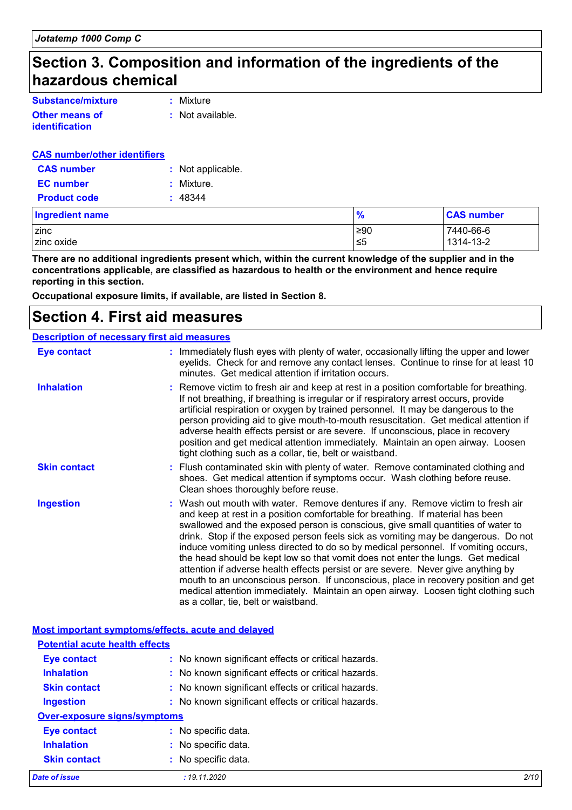### **Section 3. Composition and information of the ingredients of the hazardous chemical**

| Substance/mixture     | : Mixture        |
|-----------------------|------------------|
| <b>Other means of</b> | : Not available. |
| identification        |                  |

#### **CAS number/other identifiers**

| <b>CAS</b> number   | : Not applicable. |
|---------------------|-------------------|
| <b>EC</b> number    | : Mixture.        |
| <b>Product code</b> | : 48344           |

| Ingredient name | $\frac{9}{6}$ | <b>CAS number</b> |
|-----------------|---------------|-------------------|
| zinc            | ≥90           | 7440-66-6         |
| zinc oxide      | ≤5            | 1314-13-2         |

**There are no additional ingredients present which, within the current knowledge of the supplier and in the concentrations applicable, are classified as hazardous to health or the environment and hence require reporting in this section.**

**Occupational exposure limits, if available, are listed in Section 8.**

### **Section 4. First aid measures**

#### **Description of necessary first aid measures**

| Eye contact         | : Immediately flush eyes with plenty of water, occasionally lifting the upper and lower<br>eyelids. Check for and remove any contact lenses. Continue to rinse for at least 10<br>minutes. Get medical attention if irritation occurs.                                                                                                                                                                                                                                                                                                                                                                                                                                                                                                                                                                                       |
|---------------------|------------------------------------------------------------------------------------------------------------------------------------------------------------------------------------------------------------------------------------------------------------------------------------------------------------------------------------------------------------------------------------------------------------------------------------------------------------------------------------------------------------------------------------------------------------------------------------------------------------------------------------------------------------------------------------------------------------------------------------------------------------------------------------------------------------------------------|
| <b>Inhalation</b>   | : Remove victim to fresh air and keep at rest in a position comfortable for breathing.<br>If not breathing, if breathing is irregular or if respiratory arrest occurs, provide<br>artificial respiration or oxygen by trained personnel. It may be dangerous to the<br>person providing aid to give mouth-to-mouth resuscitation. Get medical attention if<br>adverse health effects persist or are severe. If unconscious, place in recovery<br>position and get medical attention immediately. Maintain an open airway. Loosen<br>tight clothing such as a collar, tie, belt or waistband.                                                                                                                                                                                                                                 |
| <b>Skin contact</b> | : Flush contaminated skin with plenty of water. Remove contaminated clothing and<br>shoes. Get medical attention if symptoms occur. Wash clothing before reuse.<br>Clean shoes thoroughly before reuse.                                                                                                                                                                                                                                                                                                                                                                                                                                                                                                                                                                                                                      |
| <b>Ingestion</b>    | : Wash out mouth with water. Remove dentures if any. Remove victim to fresh air<br>and keep at rest in a position comfortable for breathing. If material has been<br>swallowed and the exposed person is conscious, give small quantities of water to<br>drink. Stop if the exposed person feels sick as vomiting may be dangerous. Do not<br>induce vomiting unless directed to do so by medical personnel. If vomiting occurs,<br>the head should be kept low so that vomit does not enter the lungs. Get medical<br>attention if adverse health effects persist or are severe. Never give anything by<br>mouth to an unconscious person. If unconscious, place in recovery position and get<br>medical attention immediately. Maintain an open airway. Loosen tight clothing such<br>as a collar, tie, belt or waistband. |

|                                       | <b>Most important symptoms/effects, acute and delayed</b> |      |
|---------------------------------------|-----------------------------------------------------------|------|
| <b>Potential acute health effects</b> |                                                           |      |
| <b>Eye contact</b>                    | : No known significant effects or critical hazards.       |      |
| <b>Inhalation</b>                     | : No known significant effects or critical hazards.       |      |
| <b>Skin contact</b>                   | : No known significant effects or critical hazards.       |      |
| <b>Ingestion</b>                      | : No known significant effects or critical hazards.       |      |
| Over-exposure signs/symptoms          |                                                           |      |
| <b>Eye contact</b>                    | : No specific data.                                       |      |
| <b>Inhalation</b>                     | : No specific data.                                       |      |
| <b>Skin contact</b>                   | : No specific data.                                       |      |
| Date of issue                         | : 19.11.2020                                              | 2/10 |

a l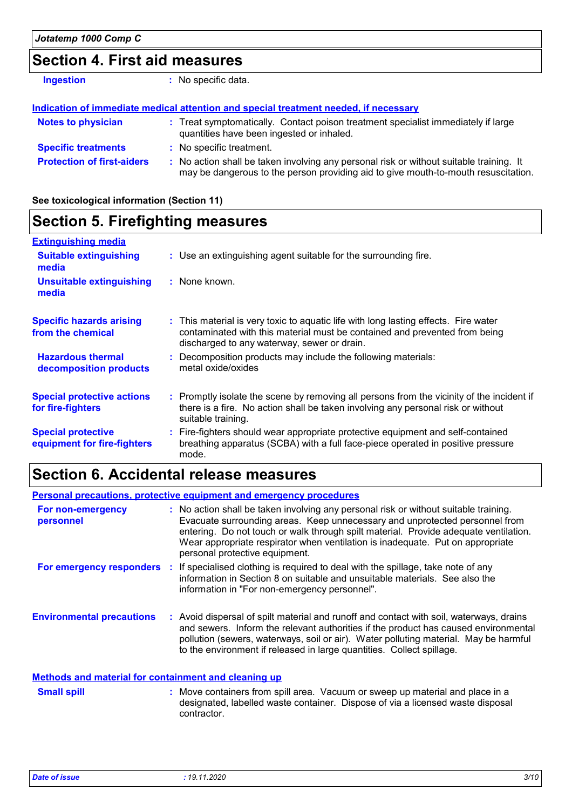### **Section 4. First aid measures**

| <b>Ingestion</b>                  | : No specific data.                                                                                                                                                           |
|-----------------------------------|-------------------------------------------------------------------------------------------------------------------------------------------------------------------------------|
|                                   | Indication of immediate medical attention and special treatment needed, if necessary                                                                                          |
| <b>Notes to physician</b>         | : Treat symptomatically. Contact poison treatment specialist immediately if large<br>quantities have been ingested or inhaled.                                                |
| <b>Specific treatments</b>        | : No specific treatment.                                                                                                                                                      |
| <b>Protection of first-aiders</b> | : No action shall be taken involving any personal risk or without suitable training. It<br>may be dangerous to the person providing aid to give mouth-to-mouth resuscitation. |

**See toxicological information (Section 11)**

#### **Section 5. Firefighting measures** Promptly isolate the scene by removing all persons from the vicinity of the incident if **:** there is a fire. No action shall be taken involving any personal risk or without suitable training. **Hazardous thermal decomposition products Specific hazards arising from the chemical** Decomposition products may include the following materials: **:** metal oxide/oxides This material is very toxic to aquatic life with long lasting effects. Fire water **:** contaminated with this material must be contained and prevented from being discharged to any waterway, sewer or drain. Fire-fighters should wear appropriate protective equipment and self-contained **:** breathing apparatus (SCBA) with a full face-piece operated in positive pressure mode. **Special protective equipment for fire-fighters** Use an extinguishing agent suitable for the surrounding fire. **: Extinguishing media :** None known. **Suitable extinguishing media Unsuitable extinguishing media Special protective actions for fire-fighters**

### **Section 6. Accidental release measures**

|                                  | <b>Personal precautions, protective equipment and emergency procedures</b>                                                                                                                                                                                                                                                                                                      |
|----------------------------------|---------------------------------------------------------------------------------------------------------------------------------------------------------------------------------------------------------------------------------------------------------------------------------------------------------------------------------------------------------------------------------|
| For non-emergency<br>personnel   | : No action shall be taken involving any personal risk or without suitable training.<br>Evacuate surrounding areas. Keep unnecessary and unprotected personnel from<br>entering. Do not touch or walk through spilt material. Provide adequate ventilation.<br>Wear appropriate respirator when ventilation is inadequate. Put on appropriate<br>personal protective equipment. |
| For emergency responders         | : If specialised clothing is required to deal with the spillage, take note of any<br>information in Section 8 on suitable and unsuitable materials. See also the<br>information in "For non-emergency personnel".                                                                                                                                                               |
| <b>Environmental precautions</b> | : Avoid dispersal of spilt material and runoff and contact with soil, waterways, drains<br>and sewers. Inform the relevant authorities if the product has caused environmental<br>pollution (sewers, waterways, soil or air). Water polluting material. May be harmful<br>to the environment if released in large quantities. Collect spillage.                                 |
|                                  |                                                                                                                                                                                                                                                                                                                                                                                 |

#### **Methods and material for containment and cleaning up**

| <b>Small spill</b> | : Move containers from spill area. Vacuum or sweep up material and place in a  |
|--------------------|--------------------------------------------------------------------------------|
|                    | designated, labelled waste container. Dispose of via a licensed waste disposal |
|                    | contractor.                                                                    |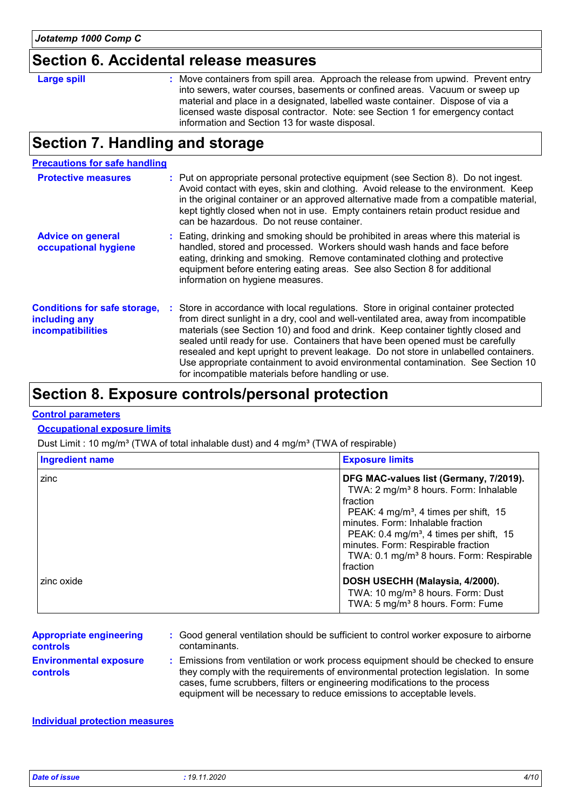### **Section 6. Accidental release measures**

| ie si<br>П<br>- 1<br>О |
|------------------------|
|------------------------|

Move containers from spill area. Approach the release from upwind. Prevent entry **Large spill :** into sewers, water courses, basements or confined areas. Vacuum or sweep up material and place in a designated, labelled waste container. Dispose of via a licensed waste disposal contractor. Note: see Section 1 for emergency contact information and Section 13 for waste disposal.

### **Section 7. Handling and storage**

#### **Precautions for safe handling**

| <b>Protective measures</b>                                                       | : Put on appropriate personal protective equipment (see Section 8). Do not ingest.<br>Avoid contact with eyes, skin and clothing. Avoid release to the environment. Keep<br>in the original container or an approved alternative made from a compatible material,<br>kept tightly closed when not in use. Empty containers retain product residue and<br>can be hazardous. Do not reuse container.                                                                                                                                                                                  |
|----------------------------------------------------------------------------------|-------------------------------------------------------------------------------------------------------------------------------------------------------------------------------------------------------------------------------------------------------------------------------------------------------------------------------------------------------------------------------------------------------------------------------------------------------------------------------------------------------------------------------------------------------------------------------------|
| <b>Advice on general</b><br>occupational hygiene                                 | : Eating, drinking and smoking should be prohibited in areas where this material is<br>handled, stored and processed. Workers should wash hands and face before<br>eating, drinking and smoking. Remove contaminated clothing and protective<br>equipment before entering eating areas. See also Section 8 for additional<br>information on hygiene measures.                                                                                                                                                                                                                       |
| <b>Conditions for safe storage,</b><br>including any<br><b>incompatibilities</b> | : Store in accordance with local regulations. Store in original container protected<br>from direct sunlight in a dry, cool and well-ventilated area, away from incompatible<br>materials (see Section 10) and food and drink. Keep container tightly closed and<br>sealed until ready for use. Containers that have been opened must be carefully<br>resealed and kept upright to prevent leakage. Do not store in unlabelled containers.<br>Use appropriate containment to avoid environmental contamination. See Section 10<br>for incompatible materials before handling or use. |

### **Section 8. Exposure controls/personal protection**

#### **Control parameters**

#### **Occupational exposure limits**

Dust Limit : 10 mg/m<sup>3</sup> (TWA of total inhalable dust) and 4 mg/m<sup>3</sup> (TWA of respirable)

| <b>Ingredient name</b> | <b>Exposure limits</b>                                                                                                                                                                                                                                                                                                                                             |
|------------------------|--------------------------------------------------------------------------------------------------------------------------------------------------------------------------------------------------------------------------------------------------------------------------------------------------------------------------------------------------------------------|
| zinc                   | DFG MAC-values list (Germany, 7/2019).<br>TWA: 2 mg/m <sup>3</sup> 8 hours. Form: Inhalable<br>fraction<br>PEAK: 4 mg/m <sup>3</sup> , 4 times per shift, 15<br>minutes. Form: Inhalable fraction<br>PEAK: 0.4 mg/m <sup>3</sup> , 4 times per shift, 15<br>minutes. Form: Respirable fraction<br>TWA: 0.1 mg/m <sup>3</sup> 8 hours. Form: Respirable<br>fraction |
| zinc oxide             | DOSH USECHH (Malaysia, 4/2000).<br>TWA: 10 mg/m <sup>3</sup> 8 hours. Form: Dust<br>TWA: 5 mg/m <sup>3</sup> 8 hours. Form: Fume                                                                                                                                                                                                                                   |

| <b>Appropriate engineering</b>                   | : Good general ventilation should be sufficient to control worker exposure to airborne                                                                                                                                                                                                                                          |
|--------------------------------------------------|---------------------------------------------------------------------------------------------------------------------------------------------------------------------------------------------------------------------------------------------------------------------------------------------------------------------------------|
| <b>controls</b>                                  | contaminants.                                                                                                                                                                                                                                                                                                                   |
| <b>Environmental exposure</b><br><b>controls</b> | : Emissions from ventilation or work process equipment should be checked to ensure<br>they comply with the requirements of environmental protection legislation. In some<br>cases, fume scrubbers, filters or engineering modifications to the process<br>equipment will be necessary to reduce emissions to acceptable levels. |

#### **Individual protection measures**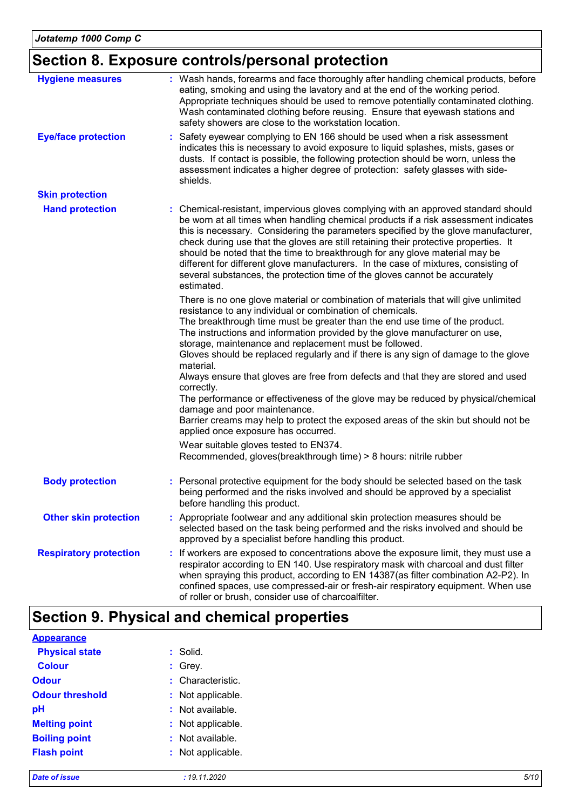## **Section 8. Exposure controls/personal protection**

| <b>Hygiene measures</b>       | : Wash hands, forearms and face thoroughly after handling chemical products, before<br>eating, smoking and using the lavatory and at the end of the working period.<br>Appropriate techniques should be used to remove potentially contaminated clothing.<br>Wash contaminated clothing before reusing. Ensure that eyewash stations and<br>safety showers are close to the workstation location.                                                                                                                                                                                                                                                                                                                                                                                                                                                                          |
|-------------------------------|----------------------------------------------------------------------------------------------------------------------------------------------------------------------------------------------------------------------------------------------------------------------------------------------------------------------------------------------------------------------------------------------------------------------------------------------------------------------------------------------------------------------------------------------------------------------------------------------------------------------------------------------------------------------------------------------------------------------------------------------------------------------------------------------------------------------------------------------------------------------------|
| <b>Eye/face protection</b>    | Safety eyewear complying to EN 166 should be used when a risk assessment<br>indicates this is necessary to avoid exposure to liquid splashes, mists, gases or<br>dusts. If contact is possible, the following protection should be worn, unless the<br>assessment indicates a higher degree of protection: safety glasses with side-<br>shields.                                                                                                                                                                                                                                                                                                                                                                                                                                                                                                                           |
| <b>Skin protection</b>        |                                                                                                                                                                                                                                                                                                                                                                                                                                                                                                                                                                                                                                                                                                                                                                                                                                                                            |
| <b>Hand protection</b>        | : Chemical-resistant, impervious gloves complying with an approved standard should<br>be worn at all times when handling chemical products if a risk assessment indicates<br>this is necessary. Considering the parameters specified by the glove manufacturer,<br>check during use that the gloves are still retaining their protective properties. It<br>should be noted that the time to breakthrough for any glove material may be<br>different for different glove manufacturers. In the case of mixtures, consisting of<br>several substances, the protection time of the gloves cannot be accurately<br>estimated.                                                                                                                                                                                                                                                  |
|                               | There is no one glove material or combination of materials that will give unlimited<br>resistance to any individual or combination of chemicals.<br>The breakthrough time must be greater than the end use time of the product.<br>The instructions and information provided by the glove manufacturer on use,<br>storage, maintenance and replacement must be followed.<br>Gloves should be replaced regularly and if there is any sign of damage to the glove<br>material.<br>Always ensure that gloves are free from defects and that they are stored and used<br>correctly.<br>The performance or effectiveness of the glove may be reduced by physical/chemical<br>damage and poor maintenance.<br>Barrier creams may help to protect the exposed areas of the skin but should not be<br>applied once exposure has occurred.<br>Wear suitable gloves tested to EN374. |
|                               | Recommended, gloves(breakthrough time) > 8 hours: nitrile rubber                                                                                                                                                                                                                                                                                                                                                                                                                                                                                                                                                                                                                                                                                                                                                                                                           |
| <b>Body protection</b>        | : Personal protective equipment for the body should be selected based on the task<br>being performed and the risks involved and should be approved by a specialist<br>before handling this product.                                                                                                                                                                                                                                                                                                                                                                                                                                                                                                                                                                                                                                                                        |
| <b>Other skin protection</b>  | Appropriate footwear and any additional skin protection measures should be<br>selected based on the task being performed and the risks involved and should be<br>approved by a specialist before handling this product.                                                                                                                                                                                                                                                                                                                                                                                                                                                                                                                                                                                                                                                    |
| <b>Respiratory protection</b> | : If workers are exposed to concentrations above the exposure limit, they must use a<br>respirator according to EN 140. Use respiratory mask with charcoal and dust filter<br>when spraying this product, according to EN 14387(as filter combination A2-P2). In<br>confined spaces, use compressed-air or fresh-air respiratory equipment. When use<br>of roller or brush, consider use of charcoalfilter.                                                                                                                                                                                                                                                                                                                                                                                                                                                                |

### **Section 9. Physical and chemical properties**

| <b>Appearance</b>      |                   |      |
|------------------------|-------------------|------|
| <b>Physical state</b>  | $:$ Solid.        |      |
| <b>Colour</b>          | $:$ Grey.         |      |
| <b>Odour</b>           | : Characteristic. |      |
| <b>Odour threshold</b> | : Not applicable. |      |
| pH                     | : Not available.  |      |
| <b>Melting point</b>   | : Not applicable. |      |
| <b>Boiling point</b>   | : Not available.  |      |
| <b>Flash point</b>     | : Not applicable. |      |
| <b>Date of issue</b>   | : 19.11.2020      | 5/10 |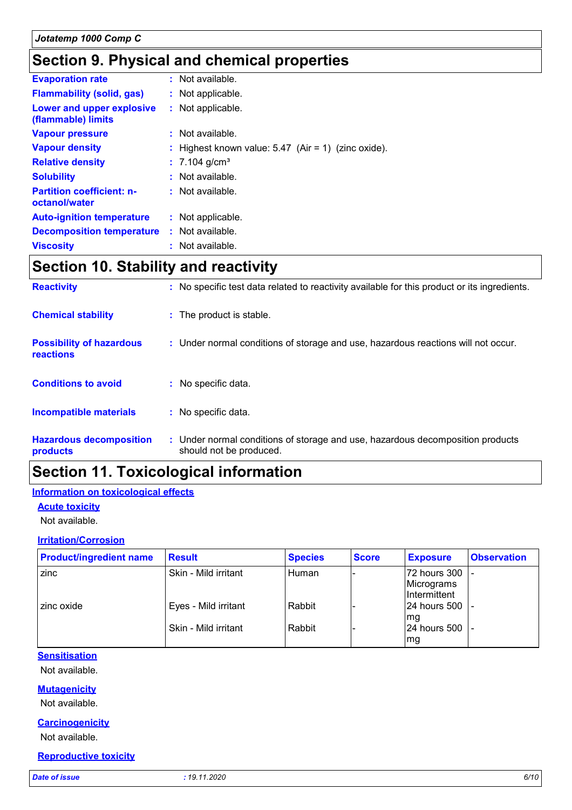### **Section 9. Physical and chemical properties**

| <b>Evaporation rate</b>                           | : Not available.                                      |
|---------------------------------------------------|-------------------------------------------------------|
| <b>Flammability (solid, gas)</b>                  | : Not applicable.                                     |
| Lower and upper explosive<br>(flammable) limits   | : Not applicable.                                     |
| <b>Vapour pressure</b>                            | : Not available.                                      |
| <b>Vapour density</b>                             | : Highest known value: $5.47$ (Air = 1) (zinc oxide). |
| <b>Relative density</b>                           | $: 7.104$ g/cm <sup>3</sup>                           |
| <b>Solubility</b>                                 | : Not available.                                      |
| <b>Partition coefficient: n-</b><br>octanol/water | : Not available.                                      |
| <b>Auto-ignition temperature</b>                  | : Not applicable.                                     |
| <b>Decomposition temperature</b>                  | $:$ Not available.                                    |
| <b>Viscosity</b>                                  | : Not available.                                      |

## **Section 10. Stability and reactivity**

| <b>Reactivity</b>                            | : No specific test data related to reactivity available for this product or its ingredients.              |
|----------------------------------------------|-----------------------------------------------------------------------------------------------------------|
| <b>Chemical stability</b>                    | : The product is stable.                                                                                  |
| <b>Possibility of hazardous</b><br>reactions | : Under normal conditions of storage and use, hazardous reactions will not occur.                         |
| <b>Conditions to avoid</b>                   | $:$ No specific data.                                                                                     |
| <b>Incompatible materials</b>                | : No specific data.                                                                                       |
| <b>Hazardous decomposition</b><br>products   | : Under normal conditions of storage and use, hazardous decomposition products<br>should not be produced. |

### **Section 11. Toxicological information**

#### **Information on toxicological effects**

#### **Acute toxicity**

Not available.

#### **Irritation/Corrosion**

| <b>Product/ingredient name</b> | <b>Result</b>        | <b>Species</b> | <b>Score</b> | <b>Exposure</b>                                | <b>Observation</b> |
|--------------------------------|----------------------|----------------|--------------|------------------------------------------------|--------------------|
| zinc                           | Skin - Mild irritant | Human          |              | 72 hours 300   -<br>Micrograms<br>Intermittent |                    |
| zinc oxide                     | Eyes - Mild irritant | Rabbit         |              | 24 hours 500 -<br>lmg                          |                    |
|                                | Skin - Mild irritant | Rabbit         |              | 24 hours 500  -<br>mg                          |                    |

#### **Sensitisation**

Not available.

#### **Mutagenicity**

Not available.

#### **Carcinogenicity**

Not available.

#### **Reproductive toxicity**

*Date of issue : 19.11.2020 6/10*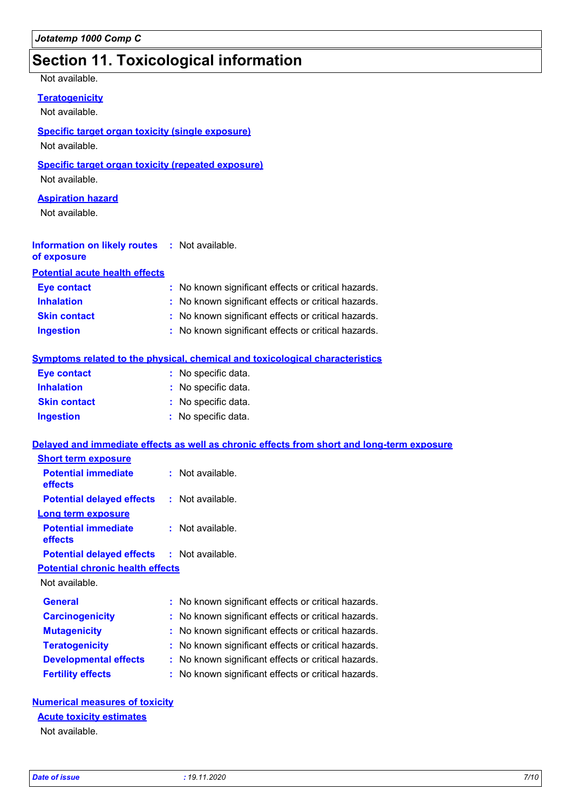### **Section 11. Toxicological information**

#### Not available.

**Teratogenicity**

Not available.

#### **Specific target organ toxicity (single exposure)**

Not available.

#### **Specific target organ toxicity (repeated exposure)**

Not available.

#### **Aspiration hazard**

Not available.

#### **Information on likely routes :** Not available. **of exposure**

**Potential acute health effects**

| <b>Eye contact</b>  | : No known significant effects or critical hazards. |
|---------------------|-----------------------------------------------------|
| <b>Inhalation</b>   | : No known significant effects or critical hazards. |
| <b>Skin contact</b> | : No known significant effects or critical hazards. |
| <b>Ingestion</b>    | : No known significant effects or critical hazards. |

#### **Symptoms related to the physical, chemical and toxicological characteristics**

| <b>Eye contact</b>  | : No specific data. |
|---------------------|---------------------|
| <b>Inhalation</b>   | : No specific data. |
| <b>Skin contact</b> | : No specific data. |
| <b>Ingestion</b>    | : No specific data. |

#### **Delayed and immediate effects as well as chronic effects from short and long-term exposure**

| <b>Short term exposure</b>                        |                                                     |
|---------------------------------------------------|-----------------------------------------------------|
| <b>Potential immediate</b><br>effects             | : Not available.                                    |
| <b>Potential delayed effects</b>                  | : Not available.                                    |
| <b>Long term exposure</b>                         |                                                     |
| <b>Potential immediate</b><br><b>effects</b>      | : Not available.                                    |
| <b>Potential delayed effects : Not available.</b> |                                                     |
| <b>Potential chronic health effects</b>           |                                                     |
| Not available.                                    |                                                     |
| <b>General</b>                                    | : No known significant effects or critical hazards. |
| <b>Carcinogenicity</b>                            | : No known significant effects or critical hazards. |
| <b>Mutagenicity</b>                               | : No known significant effects or critical hazards. |
| <b>Teratogenicity</b>                             | : No known significant effects or critical hazards. |
| <b>Developmental effects</b>                      | No known significant effects or critical hazards.   |
| <b>Fertility effects</b>                          | : No known significant effects or critical hazards. |

#### **Numerical measures of toxicity**

#### **Acute toxicity estimates**

Not available.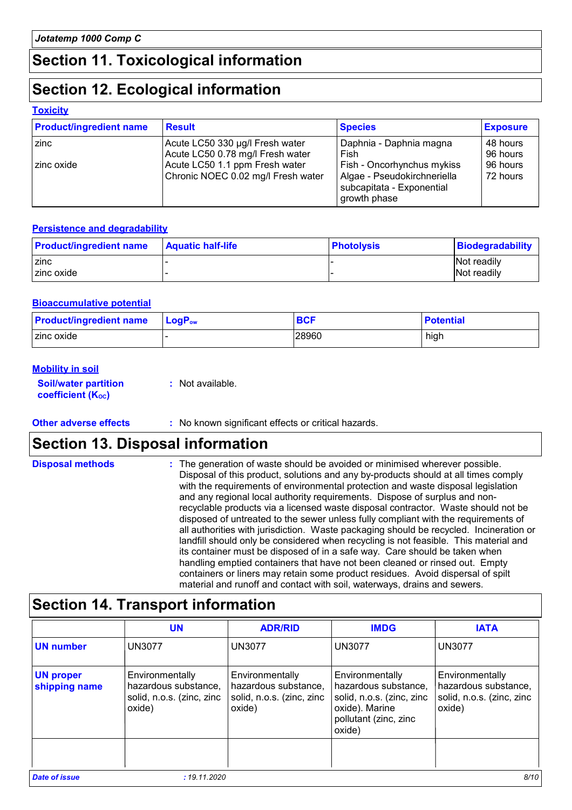### **Section 11. Toxicological information**

### **Section 12. Ecological information**

#### **Toxicity**

| <b>Product/ingredient name</b> | <b>Result</b>                      | <b>Species</b>                                                           | <b>Exposure</b> |
|--------------------------------|------------------------------------|--------------------------------------------------------------------------|-----------------|
| I zinc                         | Acute LC50 330 µg/l Fresh water    | Daphnia - Daphnia magna                                                  | 48 hours        |
|                                | Acute LC50 0.78 mg/l Fresh water   | Fish                                                                     | 96 hours        |
| zinc oxide                     | Acute LC50 1.1 ppm Fresh water     | Fish - Oncorhynchus mykiss                                               | 96 hours        |
|                                | Chronic NOEC 0.02 mg/l Fresh water | Algae - Pseudokirchneriella<br>subcapitata - Exponential<br>growth phase | 72 hours        |

#### **Persistence and degradability**

| <b>Product/ingredient name</b> | <b>Aquatic half-life</b> | <b>Photolysis</b> | Biodegradability |
|--------------------------------|--------------------------|-------------------|------------------|
| <b>zinc</b>                    |                          |                   | Not readily      |
| I zinc oxide                   |                          |                   | Not readily      |

#### **Bioaccumulative potential**

| <b>Product/ingredient name</b> | $\mathsf{LogP}_\mathsf{ow}$ | <b>BCF</b> | <b>Potential</b> |
|--------------------------------|-----------------------------|------------|------------------|
| I zinc oxide                   |                             | 28960      | high             |

#### **Mobility in soil**

**Soil/water partition coefficient (KOC)**

**:** Not available.

**Other adverse effects** : No known significant effects or critical hazards.

### **Section 13. Disposal information**

The generation of waste should be avoided or minimised wherever possible. Disposal of this product, solutions and any by-products should at all times comply with the requirements of environmental protection and waste disposal legislation and any regional local authority requirements. Dispose of surplus and nonrecyclable products via a licensed waste disposal contractor. Waste should not be disposed of untreated to the sewer unless fully compliant with the requirements of all authorities with jurisdiction. Waste packaging should be recycled. Incineration or landfill should only be considered when recycling is not feasible. This material and its container must be disposed of in a safe way. Care should be taken when handling emptied containers that have not been cleaned or rinsed out. Empty containers or liners may retain some product residues. Avoid dispersal of spilt material and runoff and contact with soil, waterways, drains and sewers. **Disposal methods :**

### **Section 14. Transport information**

|                                   | <b>UN</b>                                                                      | <b>ADR/RID</b>                                                                 | <b>IMDG</b>                                                                                                               | <b>IATA</b>                                                                    |
|-----------------------------------|--------------------------------------------------------------------------------|--------------------------------------------------------------------------------|---------------------------------------------------------------------------------------------------------------------------|--------------------------------------------------------------------------------|
| <b>UN number</b>                  | <b>UN3077</b>                                                                  | <b>UN3077</b>                                                                  | <b>UN3077</b>                                                                                                             | <b>UN3077</b>                                                                  |
| <b>UN proper</b><br>shipping name | Environmentally<br>hazardous substance,<br>solid, n.o.s. (zinc, zinc<br>oxide) | Environmentally<br>hazardous substance,<br>solid, n.o.s. (zinc, zinc<br>oxide) | Environmentally<br>hazardous substance,<br>solid, n.o.s. (zinc, zinc<br>oxide). Marine<br>pollutant (zinc, zinc<br>oxide) | Environmentally<br>hazardous substance,<br>solid, n.o.s. (zinc, zinc<br>oxide) |
|                                   |                                                                                |                                                                                |                                                                                                                           |                                                                                |
| <b>Date of issue</b>              | : 19.11.2020                                                                   |                                                                                |                                                                                                                           | 8/10                                                                           |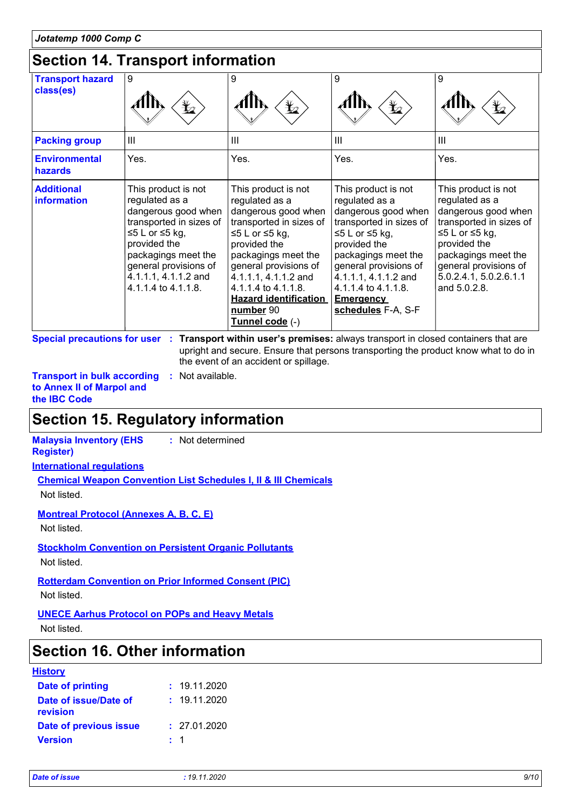### **Section 14. Transport information**

|                                         | 00000011 17. 110000001011101111000111                                                                                                                                                                                    |                                                                                                                                                                                                                                                                                          |                                                                                                                                                                                                                                                                    |                                                                                                                                                                                                                     |
|-----------------------------------------|--------------------------------------------------------------------------------------------------------------------------------------------------------------------------------------------------------------------------|------------------------------------------------------------------------------------------------------------------------------------------------------------------------------------------------------------------------------------------------------------------------------------------|--------------------------------------------------------------------------------------------------------------------------------------------------------------------------------------------------------------------------------------------------------------------|---------------------------------------------------------------------------------------------------------------------------------------------------------------------------------------------------------------------|
| <b>Transport hazard</b><br>class(es)    | 9                                                                                                                                                                                                                        | 9<br>$\mathbf{F}$                                                                                                                                                                                                                                                                        | 9<br>$\bigstar$                                                                                                                                                                                                                                                    | 9<br>¥⊿                                                                                                                                                                                                             |
| <b>Packing group</b>                    | $\mathbf{III}$                                                                                                                                                                                                           | III                                                                                                                                                                                                                                                                                      | $\mathbf{III}$                                                                                                                                                                                                                                                     | $\mathbf{III}$                                                                                                                                                                                                      |
| <b>Environmental</b><br>hazards         | Yes.                                                                                                                                                                                                                     | Yes.                                                                                                                                                                                                                                                                                     | Yes.                                                                                                                                                                                                                                                               | Yes.                                                                                                                                                                                                                |
| <b>Additional</b><br><b>information</b> | This product is not<br>regulated as a<br>dangerous good when<br>transported in sizes of<br>≤5 L or ≤5 kg,<br>provided the<br>packagings meet the<br>general provisions of<br>4.1.1.1, 4.1.1.2 and<br>4.1.1.4 to 4.1.1.8. | This product is not<br>regulated as a<br>dangerous good when<br>transported in sizes of<br>≤5 L or ≤5 kg,<br>provided the<br>packagings meet the<br>general provisions of<br>4.1.1.1, 4.1.1.2 and<br>4.1.1.4 to 4.1.1.8.<br><b>Hazard identification</b><br>number 90<br>Tunnel code (-) | This product is not<br>regulated as a<br>dangerous good when<br>transported in sizes of<br>≤5 L or ≤5 kg,<br>provided the<br>packagings meet the<br>general provisions of<br>4.1.1.1, 4.1.1.2 and<br>4.1.1.4 to 4.1.1.8.<br><b>Emergency</b><br>schedules F-A, S-F | This product is not<br>regulated as a<br>dangerous good when<br>transported in sizes of<br>≤5 L or ≤5 kg,<br>provided the<br>packagings meet the<br>general provisions of<br>5.0.2.4.1, 5.0.2.6.1.1<br>and 5.0.2.8. |

**Special precautions for user Transport within user's premises:** always transport in closed containers that are **:** upright and secure. Ensure that persons transporting the product know what to do in the event of an accident or spillage.

**Transport in bulk according :** Not available. **to Annex II of Marpol and the IBC Code**

### **Section 15. Regulatory information**

**International regulations Chemical Weapon Convention List Schedules I, II & III Chemicals** Not listed. **Malaysia Inventory (EHS Register) :** Not determined

**Montreal Protocol (Annexes A, B, C, E)**

Not listed.

**Stockholm Convention on Persistent Organic Pollutants** Not listed.

**Rotterdam Convention on Prior Informed Consent (PIC)** Not listed.

**UNECE Aarhus Protocol on POPs and Heavy Metals**

Not listed.

### **Section 16. Other information**

| <b>Date of printing</b><br>: 19.11.2020<br>: 19.11.2020<br>Date of issue/Date of<br>revision |  |
|----------------------------------------------------------------------------------------------|--|
|                                                                                              |  |
|                                                                                              |  |
| Date of previous issue<br>: 27.01.2020                                                       |  |
| <b>Version</b><br>$\pm$ 1                                                                    |  |